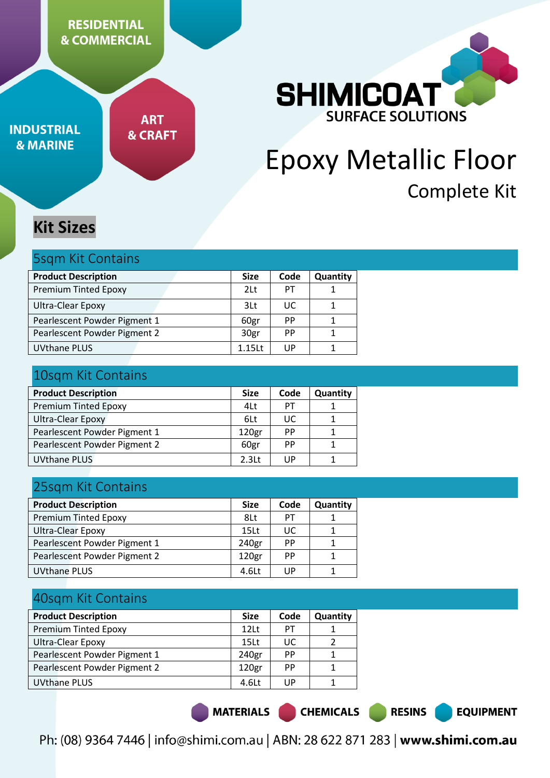**RESIDENTIAL & COMMERCIAL** 

**INDUSTRIAL & MARINE** 

**ART & CRAFT** 



# Epoxy Metallic Floor Complete Kit

# **Kit Sizes**

| <b>5sqm Kit Contains</b>     |                 |           |          |  |
|------------------------------|-----------------|-----------|----------|--|
| <b>Product Description</b>   | <b>Size</b>     | Code      | Quantity |  |
| <b>Premium Tinted Epoxy</b>  | 2 <sub>lt</sub> | PТ        |          |  |
| Ultra-Clear Epoxy            | 3Lt             | ПC        |          |  |
| Pearlescent Powder Pigment 1 | 60gr            | <b>PP</b> |          |  |
| Pearlescent Powder Pigment 2 | 30gr            | <b>PP</b> |          |  |

UVthane PLUS 2008 2012 1.15Lt | UP | 1

# 10sqm Kit Contains

| <b>Product Description</b>   | <b>Size</b>       | Code      | Quantity |
|------------------------------|-------------------|-----------|----------|
| <b>Premium Tinted Epoxy</b>  | 4Lt               | PT        |          |
| Ultra-Clear Epoxy            | 6Lt               | UC        |          |
| Pearlescent Powder Pigment 1 | 120gr             | <b>PP</b> |          |
| Pearlescent Powder Pigment 2 | 60gr              | <b>PP</b> |          |
| <b>UVthane PLUS</b>          | 2.3 <sub>lt</sub> | UP        |          |
|                              |                   |           |          |

# 25sqm Kit Contains

| <b>Product Description</b>   | <b>Size</b>       | Code      | Quantity |
|------------------------------|-------------------|-----------|----------|
| <b>Premium Tinted Epoxy</b>  | 8Lt               | PT        |          |
| <b>Ultra-Clear Epoxy</b>     | 15 <sub>Lt</sub>  | UC        |          |
| Pearlescent Powder Pigment 1 | 240gr             | PP        |          |
| Pearlescent Powder Pigment 2 | 120 <sub>gr</sub> | <b>PP</b> |          |
| UVthane PLUS                 | $4.6$ Lt          | UP        |          |

# 40sqm Kit Contains

| <b>Product Description</b>   | <b>Size</b>       | Code      | Quantity |
|------------------------------|-------------------|-----------|----------|
| <b>Premium Tinted Epoxy</b>  | 12lt              | PТ        |          |
| <b>Ultra-Clear Epoxy</b>     | 15 <sub>Lt</sub>  | UC        |          |
| Pearlescent Powder Pigment 1 | 240gr             | <b>PP</b> |          |
| Pearlescent Powder Pigment 2 | 120 <sub>gr</sub> | <b>PP</b> |          |
| <b>UVthane PLUS</b>          | $4.6$ Lt          | UP        |          |

MATERIALS |

**CHEMICALS** 

**RESINS** 

**EQUIPMENT**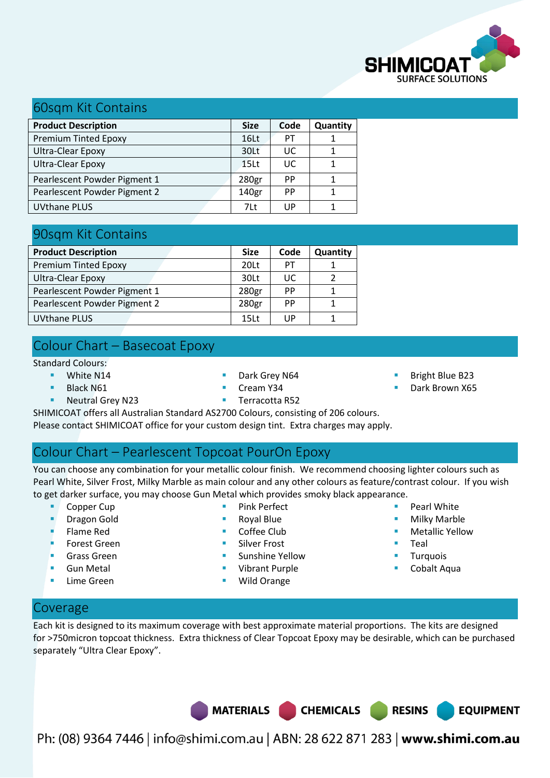

### 60sqm Kit Contains

| <b>Product Description</b>   | <b>Size</b>      | Code | Quantity |
|------------------------------|------------------|------|----------|
| <b>Premium Tinted Epoxy</b>  | 16 <sub>Lt</sub> | PT   |          |
| <b>Ultra-Clear Epoxy</b>     | 30Lt             | UC   |          |
| Ultra-Clear Epoxy            | 15 <sub>Lt</sub> | UC.  |          |
| Pearlescent Powder Pigment 1 | 280gr            | PP   |          |
| Pearlescent Powder Pigment 2 | 140gr            | PP   |          |
| <b>UVthane PLUS</b>          | 71t              | UP   |          |

# 90sqm Kit Contains

|                              |                   | Code |          |
|------------------------------|-------------------|------|----------|
| <b>Product Description</b>   | <b>Size</b>       |      | Quantity |
| <b>Premium Tinted Epoxy</b>  | 20Lt              | PТ   |          |
| Ultra-Clear Epoxy            | 30Lt              | UC.  |          |
| Pearlescent Powder Pigment 1 | 280 <sub>gr</sub> | PP   |          |
| Pearlescent Powder Pigment 2 | 280gr             | PP   |          |
| <b>UVthane PLUS</b>          | 15 <sub>Lt</sub>  | UP   |          |

# Colour Chart – Basecoat Epoxy

Standard Colours:

- **White N14** 
	- Black N61
- Cream Y34
- Dark Grey N64
- Bright Blue B23
- Dark Brown X65

**Neutral Grey N23** 

- **Terracotta R52**
- SHIMICOAT offers all Australian Standard AS2700 Colours, consisting of 206 colours.

Please contact SHIMICOAT office for your custom design tint. Extra charges may apply.

# Colour Chart – Pearlescent Topcoat PourOn Epoxy

You can choose any combination for your metallic colour finish. We recommend choosing lighter colours such as Pearl White, Silver Frost, Milky Marble as main colour and any other colours as feature/contrast colour. If you wish to get darker surface, you may choose Gun Metal which provides smoky black appearance.

> Pink Perfect Royal Blue Coffee Club Silver Frost

- Copper Cup
- Dragon Gold
- Flame Red
- Forest Green
- Grass Green
- Gun Metal
- Lime Green
- Sunshine Yellow Vibrant Purple
- Wild Orange
- Pearl White
- Milky Marble
	- Metallic Yellow

**EQUIPMENT** 

- **Teal**
- Turquois
- Cobalt Aqua

# Coverage

Each kit is designed to its maximum coverage with best approximate material proportions. The kits are designed for >750micron topcoat thickness. Extra thickness of Clear Topcoat Epoxy may be desirable, which can be purchased separately "Ultra Clear Epoxy".

MATERIALS CHEMICALS RESINS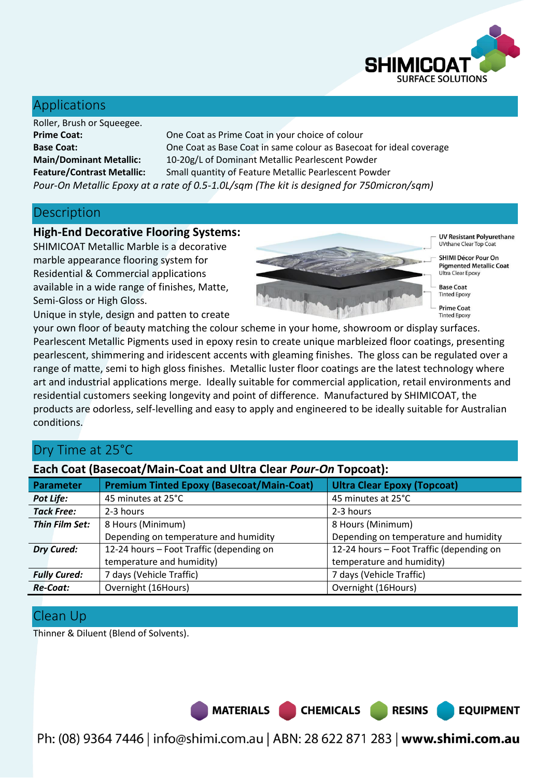

# Applications

Roller, Brush or Squeegee.

**Prime Coat:** One Coat as Prime Coat in your choice of colour **Base Coat:** One Coat as Base Coat in same colour as Basecoat for ideal coverage **Main/Dominant Metallic:** 10-20g/L of Dominant Metallic Pearlescent Powder **Feature/Contrast Metallic:** Small quantity of Feature Metallic Pearlescent Powder *Pour-On Metallic Epoxy at a rate of 0.5-1.0L/sqm (The kit is designed for 750micron/sqm)*

### **Description**

#### **High-End Decorative Flooring Systems:**

SHIMICOAT Metallic Marble is a decorative marble appearance flooring system for Residential & Commercial applications available in a wide range of finishes, Matte, Semi-Gloss or High Gloss.



UV Resistant Polyurethane **UVthane Clear Top Coat** 

**SHIMI Décor Pour On Pigmented Metallic Coat** Ultra Clear Epoxy

**Base Coat Tinted Epoxy** 

**Prime Coat Tinted Frooxy** 

**RESINS** 

**EQUIPMENT** 

Unique in style, design and patten to create

your own floor of beauty matching the colour scheme in your home, showroom or display surfaces. Pearlescent Metallic Pigments used in epoxy resin to create unique marbleized floor coatings, presenting pearlescent, shimmering and iridescent accents with gleaming finishes. The gloss can be regulated over a range of matte, semi to high gloss finishes. Metallic luster floor coatings are the latest technology where art and industrial applications merge. Ideally suitable for commercial application, retail environments and residential customers seeking longevity and point of difference. Manufactured by SHIMICOAT, the products are odorless, self-levelling and easy to apply and engineered to be ideally suitable for Australian conditions.

# Dry Time at 25°C

### **Each Coat (Basecoat/Main-Coat and Ultra Clear** *Pour-On* **Topcoat):**

| <b>Parameter</b>    | <b>Premium Tinted Epoxy (Basecoat/Main-Coat)</b> | <b>Ultra Clear Epoxy (Topcoat)</b>       |
|---------------------|--------------------------------------------------|------------------------------------------|
| Pot Life:           | 45 minutes at 25°C                               | 45 minutes at 25°C                       |
| <b>Tack Free:</b>   | 2-3 hours                                        | 2-3 hours                                |
| Thin Film Set:      | 8 Hours (Minimum)                                | 8 Hours (Minimum)                        |
|                     | Depending on temperature and humidity            | Depending on temperature and humidity    |
| <b>Dry Cured:</b>   | 12-24 hours - Foot Traffic (depending on         | 12-24 hours - Foot Traffic (depending on |
|                     | temperature and humidity)                        | temperature and humidity)                |
| <b>Fully Cured:</b> | 7 days (Vehicle Traffic)                         | 7 days (Vehicle Traffic)                 |
| <b>Re-Coat:</b>     | Overnight (16Hours)                              | Overnight (16Hours)                      |

# Clean Up

Thinner & Diluent (Blend of Solvents).

MATERIALS CHEMICALS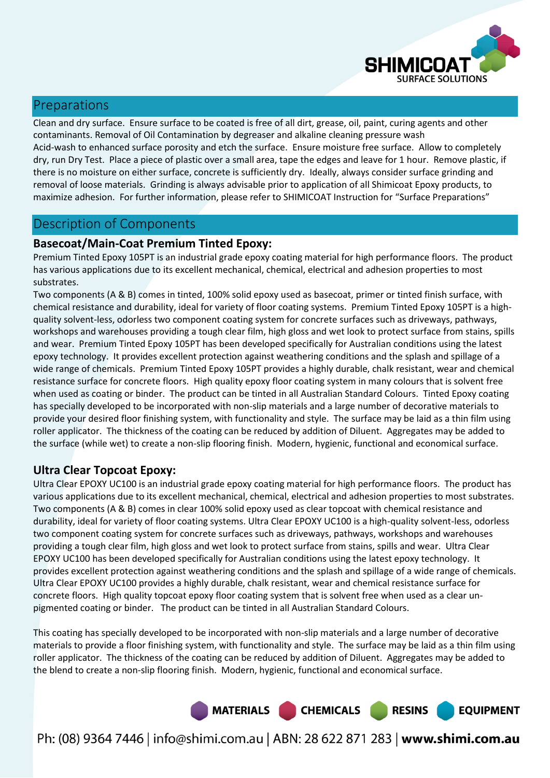

# Preparations

Clean and dry surface. Ensure surface to be coated is free of all dirt, grease, oil, paint, curing agents and other contaminants. Removal of Oil Contamination by degreaser and alkaline cleaning pressure wash Acid-wash to enhanced surface porosity and etch the surface. Ensure moisture free surface. Allow to completely dry, run Dry Test. Place a piece of plastic over a small area, tape the edges and leave for 1 hour. Remove plastic, if there is no moisture on either surface, concrete is sufficiently dry. Ideally, always consider surface grinding and removal of loose materials. Grinding is always advisable prior to application of all Shimicoat Epoxy products, to maximize adhesion. For further information, please refer to SHIMICOAT Instruction for "Surface Preparations"

### Description of Components

### **Basecoat/Main-Coat Premium Tinted Epoxy:**

Premium Tinted Epoxy 105PT is an industrial grade epoxy coating material for high performance floors. The product has various applications due to its excellent mechanical, chemical, electrical and adhesion properties to most substrates.

Two components (A & B) comes in tinted, 100% solid epoxy used as basecoat, primer or tinted finish surface, with chemical resistance and durability, ideal for variety of floor coating systems. Premium Tinted Epoxy 105PT is a highquality solvent-less, odorless two component coating system for concrete surfaces such as driveways, pathways, workshops and warehouses providing a tough clear film, high gloss and wet look to protect surface from stains, spills and wear. Premium Tinted Epoxy 105PT has been developed specifically for Australian conditions using the latest epoxy technology. It provides excellent protection against weathering conditions and the splash and spillage of a wide range of chemicals. Premium Tinted Epoxy 105PT provides a highly durable, chalk resistant, wear and chemical resistance surface for concrete floors. High quality epoxy floor coating system in many colours that is solvent free when used as coating or binder. The product can be tinted in all Australian Standard Colours. Tinted Epoxy coating has specially developed to be incorporated with non-slip materials and a large number of decorative materials to provide your desired floor finishing system, with functionality and style. The surface may be laid as a thin film using roller applicator. The thickness of the coating can be reduced by addition of Diluent. Aggregates may be added to the surface (while wet) to create a non-slip flooring finish. Modern, hygienic, functional and economical surface.

### **Ultra Clear Topcoat Epoxy:**

Ultra Clear EPOXY UC100 is an industrial grade epoxy coating material for high performance floors. The product has various applications due to its excellent mechanical, chemical, electrical and adhesion properties to most substrates. Two components (A & B) comes in clear 100% solid epoxy used as clear topcoat with chemical resistance and durability, ideal for variety of floor coating systems. Ultra Clear EPOXY UC100 is a high-quality solvent-less, odorless two component coating system for concrete surfaces such as driveways, pathways, workshops and warehouses providing a tough clear film, high gloss and wet look to protect surface from stains, spills and wear. Ultra Clear EPOXY UC100 has been developed specifically for Australian conditions using the latest epoxy technology. It provides excellent protection against weathering conditions and the splash and spillage of a wide range of chemicals. Ultra Clear EPOXY UC100 provides a highly durable, chalk resistant, wear and chemical resistance surface for concrete floors. High quality topcoat epoxy floor coating system that is solvent free when used as a clear unpigmented coating or binder. The product can be tinted in all Australian Standard Colours.

This coating has specially developed to be incorporated with non-slip materials and a large number of decorative materials to provide a floor finishing system, with functionality and style. The surface may be laid as a thin film using roller applicator. The thickness of the coating can be reduced by addition of Diluent. Aggregates may be added to the blend to create a non-slip flooring finish. Modern, hygienic, functional and economical surface.

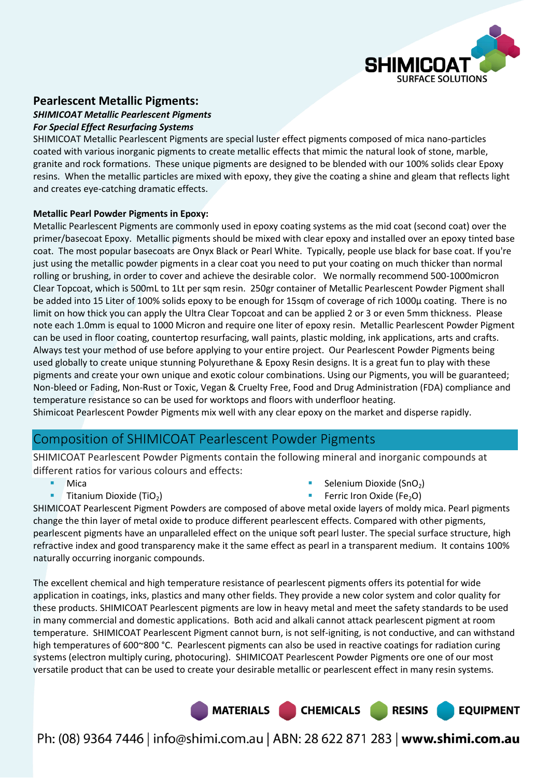

#### **Pearlescent Metallic Pigments:**

#### *SHIMICOAT Metallic Pearlescent Pigments*

#### *For Special Effect Resurfacing Systems*

SHIMICOAT Metallic Pearlescent Pigments are special luster effect pigments composed of mica nano-particles coated with various inorganic pigments to create metallic effects that mimic the natural look of stone, marble, granite and rock formations. These unique pigments are designed to be blended with our 100% solids clear Epoxy resins. When the metallic particles are mixed with epoxy, they give the coating a shine and gleam that reflects light and creates eye-catching dramatic effects.

#### **Metallic Pearl Powder Pigments in Epoxy:**

Metallic Pearlescent Pigments are commonly used in epoxy coating systems as the mid coat (second coat) over the primer/basecoat Epoxy. Metallic pigments should be mixed with clear epoxy and installed over an epoxy tinted base coat. The most popular basecoats are Onyx Black or Pearl White. Typically, people use black for base coat. If you're just using the metallic powder pigments in a clear coat you need to put your coating on much thicker than normal rolling or brushing, in order to cover and achieve the desirable color. We normally recommend 500-1000micron Clear Topcoat, which is 500mL to 1Lt per sqm resin. 250gr container of Metallic Pearlescent Powder Pigment shall be added into 15 Liter of 100% solids epoxy to be enough for 15sqm of coverage of rich 1000µ coating. There is no limit on how thick you can apply the Ultra Clear Topcoat and can be applied 2 or 3 or even 5mm thickness. Please note each 1.0mm is equal to 1000 Micron and require one liter of epoxy resin. Metallic Pearlescent Powder Pigment can be used in floor coating, countertop resurfacing, wall paints, plastic molding, ink applications, arts and crafts. Always test your method of use before applying to your entire project. Our Pearlescent Powder Pigments being used globally to create unique stunning Polyurethane & Epoxy Resin designs. It is a great fun to play with these pigments and create your own unique and exotic colour combinations. Using our Pigments, you will be guaranteed; Non-bleed or Fading, Non-Rust or Toxic, Vegan & Cruelty Free, Food and Drug Administration (FDA) compliance and temperature resistance so can be used for worktops and floors with underfloor heating.

Shimicoat Pearlescent Powder Pigments mix well with any clear epoxy on the market and disperse rapidly.

### Composition of SHIMICOAT Pearlescent Powder Pigments

SHIMICOAT Pearlescent Powder Pigments contain the following mineral and inorganic compounds at different ratios for various colours and effects:

- Mica
- Titanium Dioxide (TiO<sub>2</sub>)
- Selenium Dioxide (SnO<sub>2</sub>)
- Ferric Iron Oxide (Fe<sub>2</sub>O)

**EQUIPMENT** 

SHIMICOAT Pearlescent Pigment Powders are composed of above metal oxide layers of moldy mica. Pearl pigments change the thin layer of metal oxide to produce different pearlescent effects. Compared with other pigments, pearlescent pigments have an unparalleled effect on the unique soft pearl luster. The special surface structure, high refractive index and good transparency make it the same effect as pearl in a transparent medium. It contains 100% naturally occurring inorganic compounds.

The excellent chemical and high temperature resistance of pearlescent pigments offers its potential for wide application in coatings, inks, plastics and many other fields. They provide a new color system and color quality for these products. SHIMICOAT Pearlescent pigments are low in heavy metal and meet the safety standards to be used in many commercial and domestic applications. Both acid and alkali cannot attack pearlescent pigment at room temperature. SHIMICOAT Pearlescent Pigment cannot burn, is not self-igniting, is not conductive, and can withstand high temperatures of 600~800 °C. Pearlescent pigments can also be used in reactive coatings for radiation curing systems (electron multiply curing, photocuring). SHIMICOAT Pearlescent Powder Pigments ore one of our most versatile product that can be used to create your desirable metallic or pearlescent effect in many resin systems.

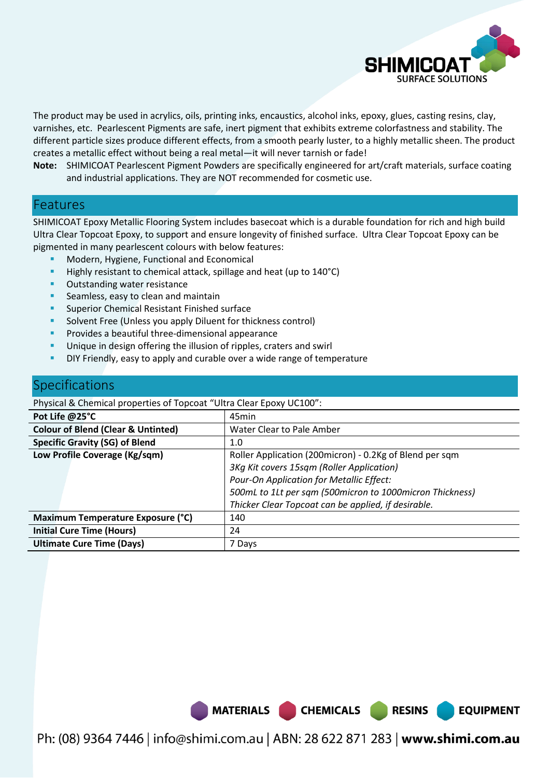

**EQUIPMENT** 

The product may be used in acrylics, oils, printing inks, encaustics, alcohol inks, epoxy, glues, casting resins, clay, varnishes, etc. Pearlescent Pigments are safe, inert pigment that exhibits extreme colorfastness and stability. The different particle sizes produce different effects, from a smooth pearly luster, to a highly metallic sheen. The product creates a metallic effect without being a real metal—it will never tarnish or fade!

**Note:** SHIMICOAT Pearlescent Pigment Powders are specifically engineered for art/craft materials, surface coating and industrial applications. They are NOT recommended for cosmetic use.

### Features

SHIMICOAT Epoxy Metallic Flooring System includes basecoat which is a durable foundation for rich and high build Ultra Clear Topcoat Epoxy, to support and ensure longevity of finished surface. Ultra Clear Topcoat Epoxy can be pigmented in many pearlescent colours with below features:

- Modern, Hygiene, Functional and Economical
- Highly resistant to chemical attack, spillage and heat (up to 140°C)
- **Outstanding water resistance**
- **Seamless, easy to clean and maintain**
- Superior Chemical Resistant Finished surface
- Solvent Free (Unless you apply Diluent for thickness control)
- Provides a beautiful three-dimensional appearance
- Unique in design offering the illusion of ripples, craters and swirl
- DIY Friendly, easy to apply and curable over a wide range of temperature

### Specifications

Physical & Chemical properties of Topcoat "Ultra Clear Epoxy UC100":

| Pot Life @25°C                                | 45min                                                    |
|-----------------------------------------------|----------------------------------------------------------|
| <b>Colour of Blend (Clear &amp; Untinted)</b> | <b>Water Clear to Pale Amber</b>                         |
| <b>Specific Gravity (SG) of Blend</b>         | 1.0                                                      |
| Low Profile Coverage (Kg/sqm)                 | Roller Application (200micron) - 0.2Kg of Blend per sqm  |
|                                               | 3Kg Kit covers 15sqm (Roller Application)                |
|                                               | Pour-On Application for Metallic Effect:                 |
|                                               | 500mL to 1Lt per sqm (500micron to 1000micron Thickness) |
|                                               | Thicker Clear Topcoat can be applied, if desirable.      |
| Maximum Temperature Exposure (°C)             | 140                                                      |
| <b>Initial Cure Time (Hours)</b>              | 24                                                       |
| <b>Ultimate Cure Time (Days)</b>              | 7 Days                                                   |

MATERIALS CHEMICALS RESINS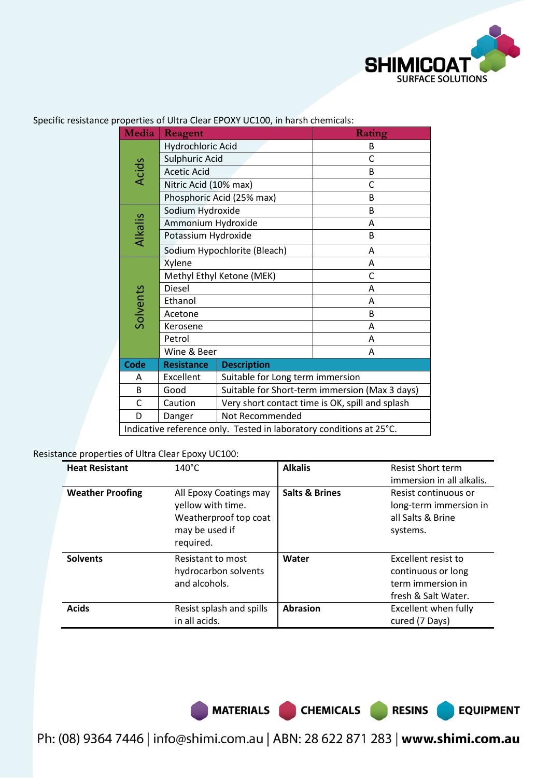

| <b>Media</b>                                                        | Reagent                   |                                                 | Rating                |  |
|---------------------------------------------------------------------|---------------------------|-------------------------------------------------|-----------------------|--|
|                                                                     | Hydrochloric Acid         |                                                 | B                     |  |
|                                                                     | Sulphuric Acid            |                                                 | C                     |  |
| <b>Acids</b>                                                        | <b>Acetic Acid</b>        |                                                 | B                     |  |
|                                                                     | Nitric Acid (10% max)     |                                                 | C                     |  |
|                                                                     |                           | Phosphoric Acid (25% max)                       | B                     |  |
|                                                                     | Sodium Hydroxide          |                                                 | B                     |  |
|                                                                     | Ammonium Hydroxide        |                                                 | Α                     |  |
| Alkalis                                                             | Potassium Hydroxide       |                                                 | B                     |  |
|                                                                     |                           | Sodium Hypochlorite (Bleach)                    | A                     |  |
|                                                                     | Xylene                    |                                                 | A                     |  |
|                                                                     | Methyl Ethyl Ketone (MEK) |                                                 | C                     |  |
|                                                                     | <b>Diesel</b>             |                                                 | A                     |  |
| Solvents                                                            | Ethanol                   |                                                 | A<br>B<br>A<br>A<br>A |  |
|                                                                     | Acetone                   |                                                 |                       |  |
|                                                                     | Kerosene                  |                                                 |                       |  |
|                                                                     | Petrol                    |                                                 |                       |  |
|                                                                     | Wine & Beer               |                                                 |                       |  |
| <b>Code</b>                                                         | <b>Resistance</b>         | <b>Description</b>                              |                       |  |
| A                                                                   | Excellent                 | Suitable for Long term immersion                |                       |  |
| B                                                                   | Good                      | Suitable for Short-term immersion (Max 3 days)  |                       |  |
| C                                                                   | Caution                   | Very short contact time is OK, spill and splash |                       |  |
| D                                                                   | Danger                    | Not Recommended                                 |                       |  |
| Indicative reference only. Tested in laboratory conditions at 25°C. |                           |                                                 |                       |  |

Specific resistance properties of Ultra Clear EPOXY UC100, in harsh chemicals:

Resistance properties of Ultra Clear Epoxy UC100:

| <b>Heat Resistant</b>   | $140^{\circ}$ C                                                                                     | <b>Alkalis</b>            | <b>Resist Short term</b><br>immersion in all alkalis.                                 |
|-------------------------|-----------------------------------------------------------------------------------------------------|---------------------------|---------------------------------------------------------------------------------------|
| <b>Weather Proofing</b> | All Epoxy Coatings may<br>yellow with time.<br>Weatherproof top coat<br>may be used if<br>required. | <b>Salts &amp; Brines</b> | Resist continuous or<br>long-term immersion in<br>all Salts & Brine<br>systems.       |
| <b>Solvents</b>         | Resistant to most<br>hydrocarbon solvents<br>and alcohols.                                          | Water                     | Excellent resist to<br>continuous or long<br>term immersion in<br>fresh & Salt Water. |
| <b>Acids</b>            | Resist splash and spills<br>in all acids.                                                           | <b>Abrasion</b>           | Excellent when fully<br>cured (7 Days)                                                |

MATERIALS CHEMICALS RESINS

**EQUIPMENT**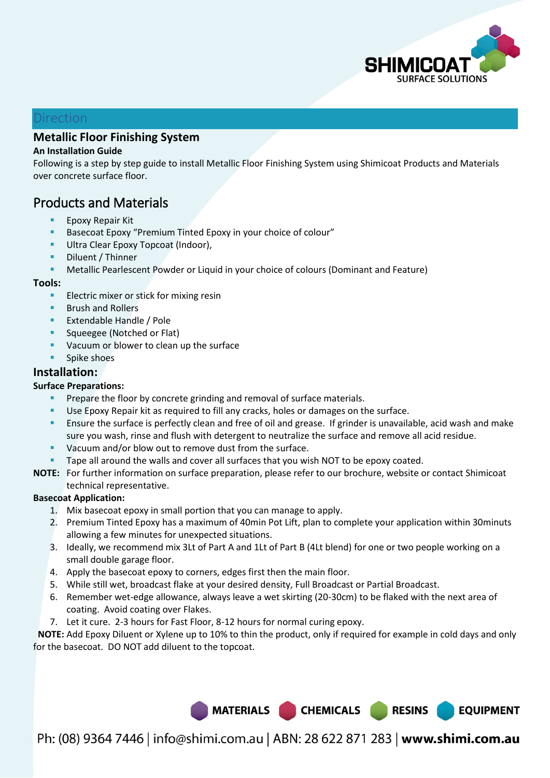

**EQUIPMENT** 

#### Direction

### **Metallic Floor Finishing System**

#### **An Installation Guide**

Following is a step by step guide to install Metallic Floor Finishing System using Shimicoat Products and Materials over concrete surface floor.

# Products and Materials

- Epoxy Repair Kit
- Basecoat Epoxy "Premium Tinted Epoxy in your choice of colour"
- Ultra Clear Epoxy Topcoat (Indoor),
- Diluent / Thinner
- Metallic Pearlescent Powder or Liquid in your choice of colours (Dominant and Feature)

#### **Tools:**

- Electric mixer or stick for mixing resin
- Brush and Rollers
- Extendable Handle / Pole
- Squeegee (Notched or Flat)
- Vacuum or blower to clean up the surface
- **Spike shoes**

#### **Installation:**

#### **Surface Preparations:**

- Prepare the floor by concrete grinding and removal of surface materials.
- Use Epoxy Repair kit as required to fill any cracks, holes or damages on the surface.
- Ensure the surface is perfectly clean and free of oil and grease. If grinder is unavailable, acid wash and make sure you wash, rinse and flush with detergent to neutralize the surface and remove all acid residue.
- **Vacuum and/or blow out to remove dust from the surface.**
- Tape all around the walls and cover all surfaces that you wish NOT to be epoxy coated.
- **NOTE:** For further information on surface preparation, please refer to our brochure, website or contact Shimicoat technical representative.

#### **Basecoat Application:**

- 1. Mix basecoat epoxy in small portion that you can manage to apply.
- 2. Premium Tinted Epoxy has a maximum of 40min Pot Lift, plan to complete your application within 30minuts allowing a few minutes for unexpected situations.
- 3. Ideally, we recommend mix 3Lt of Part A and 1Lt of Part B (4Lt blend) for one or two people working on a small double garage floor.
- 4. Apply the basecoat epoxy to corners, edges first then the main floor.
- 5. While still wet, broadcast flake at your desired density, Full Broadcast or Partial Broadcast.
- 6. Remember wet-edge allowance, always leave a wet skirting (20-30cm) to be flaked with the next area of coating. Avoid coating over Flakes.
- 7. Let it cure. 2-3 hours for Fast Floor, 8-12 hours for normal curing epoxy.

 **NOTE:** Add Epoxy Diluent or Xylene up to 10% to thin the product, only if required for example in cold days and only for the basecoat. DO NOT add diluent to the topcoat.

MATERIALS CHEMICALS RESINS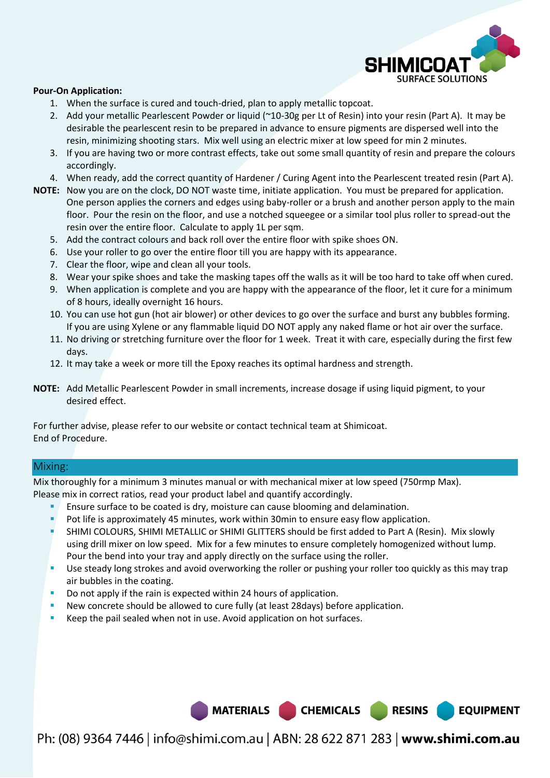

#### **Pour-On Application:**

- 1. When the surface is cured and touch-dried, plan to apply metallic topcoat.
- 2. Add your metallic Pearlescent Powder or liquid (~10-30g per Lt of Resin) into your resin (Part A). It may be desirable the pearlescent resin to be prepared in advance to ensure pigments are dispersed well into the resin, minimizing shooting stars. Mix well using an electric mixer at low speed for min 2 minutes.
- 3. If you are having two or more contrast effects, take out some small quantity of resin and prepare the colours accordingly.
- 4. When ready, add the correct quantity of Hardener / Curing Agent into the Pearlescent treated resin (Part A).
- **NOTE:** Now you are on the clock, DO NOT waste time, initiate application. You must be prepared for application. One person applies the corners and edges using baby-roller or a brush and another person apply to the main floor. Pour the resin on the floor, and use a notched squeegee or a similar tool plus roller to spread-out the resin over the entire floor. Calculate to apply 1L per sqm.
	- 5. Add the contract colours and back roll over the entire floor with spike shoes ON.
	- 6. Use your roller to go over the entire floor till you are happy with its appearance.
	- 7. Clear the floor, wipe and clean all your tools.
	- 8. Wear your spike shoes and take the masking tapes off the walls as it will be too hard to take off when cured.
	- 9. When application is complete and you are happy with the appearance of the floor, let it cure for a minimum of 8 hours, ideally overnight 16 hours.
	- 10. You can use hot gun (hot air blower) or other devices to go over the surface and burst any bubbles forming. If you are using Xylene or any flammable liquid DO NOT apply any naked flame or hot air over the surface.
	- 11. No driving or stretching furniture over the floor for 1 week. Treat it with care, especially during the first few days.
	- 12. It may take a week or more till the Epoxy reaches its optimal hardness and strength.
- **NOTE:** Add Metallic Pearlescent Powder in small increments, increase dosage if using liquid pigment, to your desired effect.

For further advise, please refer to our website or contact technical team at Shimicoat. End of Procedure.

#### Mixing:

Mix thoroughly for a minimum 3 minutes manual or with mechanical mixer at low speed (750rmp Max). Please mix in correct ratios, read your product label and quantify accordingly.

- Ensure surface to be coated is dry, moisture can cause blooming and delamination.
- Pot life is approximately 45 minutes, work within 30min to ensure easy flow application.
- SHIMI COLOURS, SHIMI METALLIC or SHIMI GLITTERS should be first added to Part A (Resin). Mix slowly using drill mixer on low speed. Mix for a few minutes to ensure completely homogenized without lump. Pour the bend into your tray and apply directly on the surface using the roller.
- **Use steady long strokes and avoid overworking the roller or pushing your roller too quickly as this may trap** air bubbles in the coating.
- Do not apply if the rain is expected within 24 hours of application.
- New concrete should be allowed to cure fully (at least 28days) before application.
- Keep the pail sealed when not in use. Avoid application on hot surfaces.

Ph: (08) 9364 7446 | info@shimi.com.au | ABN: 28 622 871 283 | www.shimi.com.au

MATERIALS CHEMICALS RESINS

**EQUIPMENT**